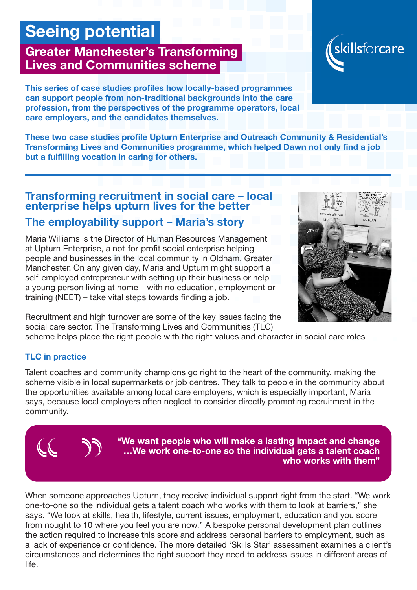# Seeing potential

## Greater Manchester's Transforming Lives and Communities scheme

This series of case studies profiles how locally-based programmes can support people from non-traditional backgrounds into the care profession, from the perspectives of the programme operators, local care employers, and the candidates themselves.

These two case studies profile Upturn Enterprise and Outreach Community & Residential's Transforming Lives and Communities programme, which helped Dawn not only find a job but a fulfilling vocation in caring for others.

## Transforming recruitment in social care – local enterprise helps upturn lives for the better The employability support – Maria's story

Maria Williams is the Director of Human Resources Management at Upturn Enterprise, a not-for-profit social enterprise helping people and businesses in the local community in Oldham, Greater Manchester. On any given day, Maria and Upturn might support a self-employed entrepreneur with setting up their business or help a young person living at home – with no education, employment or training (NEET) – take vital steps towards finding a job.

Recruitment and high turnover are some of the key issues facing the social care sector. The Transforming Lives and Communities (TLC)

scheme helps place the right people with the right values and character in social care roles

### TLC in practice

Talent coaches and community champions go right to the heart of the community, making the scheme visible in local supermarkets or job centres. They talk to people in the community about the opportunities available among local care employers, which is especially important, Maria says, because local employers often neglect to consider directly promoting recruitment in the community.

> "We want people who will make a lasting impact and change …We work one-to-one so the individual gets a talent coach who works with them"

When someone approaches Upturn, they receive individual support right from the start. "We work one-to-one so the individual gets a talent coach who works with them to look at barriers," she says. "We look at skills, health, lifestyle, current issues, employment, education and you score from nought to 10 where you feel you are now." A bespoke personal development plan outlines the action required to increase this score and address personal barriers to employment, such as a lack of experience or confidence. The more detailed 'Skills Star' assessment examines a client's circumstances and determines the right support they need to address issues in different areas of life.





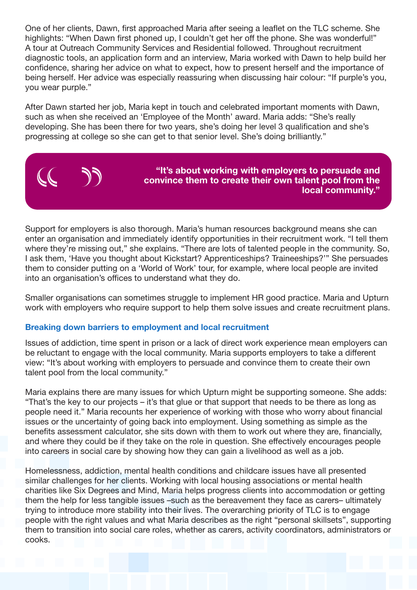One of her clients, Dawn, first approached Maria after seeing a leaflet on the TLC scheme. She highlights: "When Dawn first phoned up, I couldn't get her off the phone. She was wonderful!" A tour at Outreach Community Services and Residential followed. Throughout recruitment diagnostic tools, an application form and an interview, Maria worked with Dawn to help build her confidence, sharing her advice on what to expect, how to present herself and the importance of being herself. Her advice was especially reassuring when discussing hair colour: "If purple's you, you wear purple."

After Dawn started her job, Maria kept in touch and celebrated important moments with Dawn, such as when she received an 'Employee of the Month' award. Maria adds: "She's really developing. She has been there for two years, she's doing her level 3 qualification and she's progressing at college so she can get to that senior level. She's doing brilliantly."

Support for employers is also thorough. Maria's human resources background means she can enter an organisation and immediately identify opportunities in their recruitment work. "I tell them where they're missing out," she explains. "There are lots of talented people in the community. So, I ask them, 'Have you thought about Kickstart? Apprenticeships? Traineeships?'" She persuades them to consider putting on a 'World of Work' tour, for example, where local people are invited into an organisation's offices to understand what they do.

"It's about working with employers to persuade and convince them to create their own talent pool from the

local community."

Smaller organisations can sometimes struggle to implement HR good practice. Maria and Upturn work with employers who require support to help them solve issues and create recruitment plans.

#### Breaking down barriers to employment and local recruitment

Issues of addiction, time spent in prison or a lack of direct work experience mean employers can be reluctant to engage with the local community. Maria supports employers to take a different view: "It's about working with employers to persuade and convince them to create their own talent pool from the local community."

Maria explains there are many issues for which Upturn might be supporting someone. She adds: "That's the key to our projects – it's that glue or that support that needs to be there as long as people need it." Maria recounts her experience of working with those who worry about financial issues or the uncertainty of going back into employment. Using something as simple as the benefits assessment calculator, she sits down with them to work out where they are, financially, and where they could be if they take on the role in question. She effectively encourages people into careers in social care by showing how they can gain a livelihood as well as a job.

Homelessness, addiction, mental health conditions and childcare issues have all presented similar challenges for her clients. Working with local housing associations or mental health charities like Six Degrees and Mind, Maria helps progress clients into accommodation or getting them the help for less tangible issues –such as the bereavement they face as carers– ultimately trying to introduce more stability into their lives. The overarching priority of TLC is to engage people with the right values and what Maria describes as the right "personal skillsets", supporting them to transition into social care roles, whether as carers, activity coordinators, administrators or cooks.